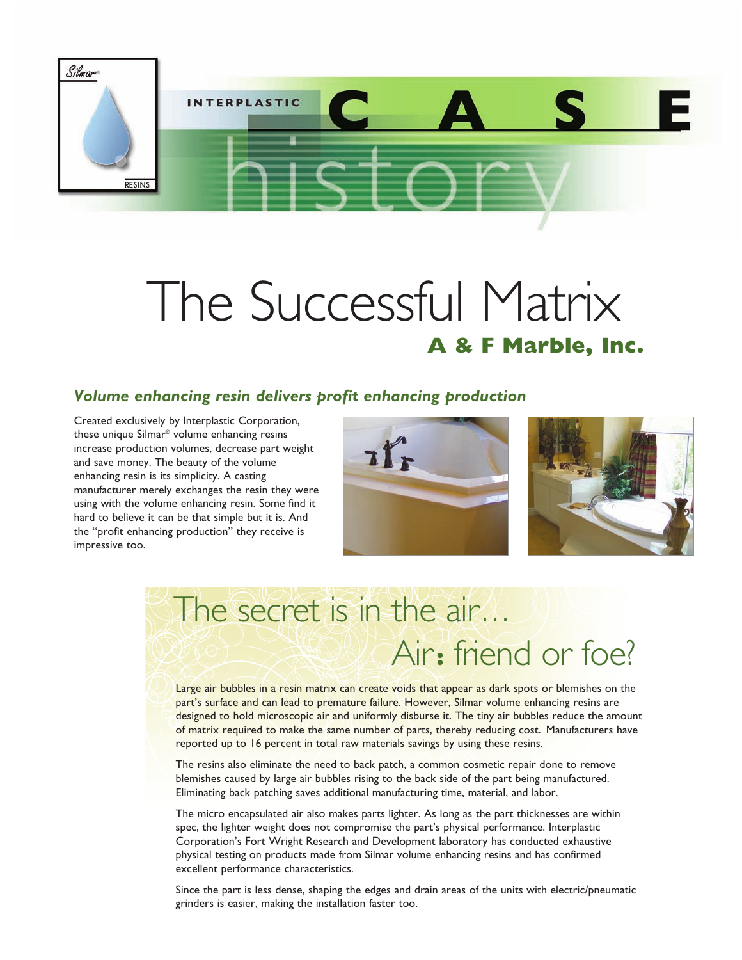

# The Successful Matrix **A & F Marble, Inc.**

### *Volume enhancing resin delivers profit enhancing production*

Created exclusively by Interplastic Corporation, these unique Silmar® volume enhancing resins increase production volumes, decrease part weight and save money. The beauty of the volume enhancing resin is its simplicity. A casting manufacturer merely exchanges the resin they were using with the volume enhancing resin. Some find it hard to believe it can be that simple but it is. And the "profit enhancing production" they receive is impressive too.





# The secret is in the air... Air**:** friend or foe?

Large air bubbles in a resin matrix can create voids that appear as dark spots or blemishes on the part's surface and can lead to premature failure. However, Silmar volume enhancing resins are designed to hold microscopic air and uniformly disburse it. The tiny air bubbles reduce the amount of matrix required to make the same number of parts, thereby reducing cost. Manufacturers have reported up to 16 percent in total raw materials savings by using these resins.

The resins also eliminate the need to back patch, a common cosmetic repair done to remove blemishes caused by large air bubbles rising to the back side of the part being manufactured. Eliminating back patching saves additional manufacturing time, material, and labor.

The micro encapsulated air also makes parts lighter. As long as the part thicknesses are within spec, the lighter weight does not compromise the part's physical performance. Interplastic Corporation's Fort Wright Research and Development laboratory has conducted exhaustive physical testing on products made from Silmar volume enhancing resins and has confirmed excellent performance characteristics.

Since the part is less dense, shaping the edges and drain areas of the units with electric/pneumatic grinders is easier, making the installation faster too.